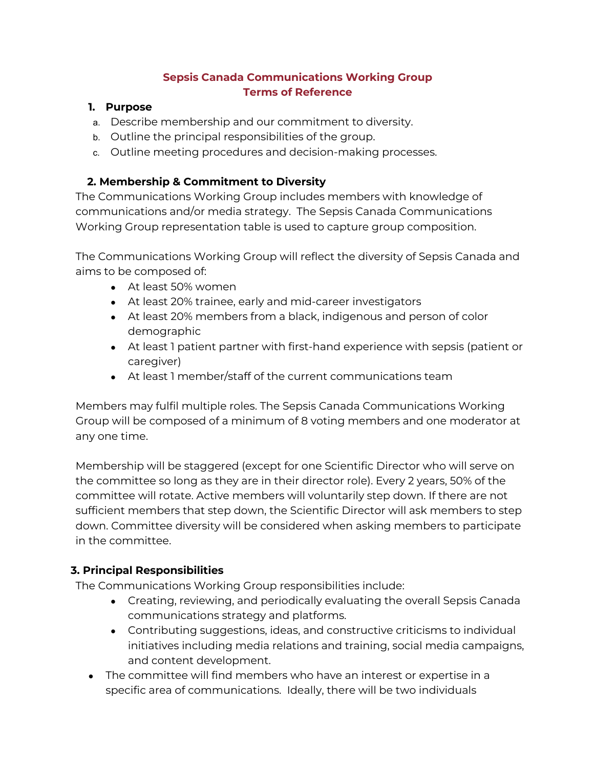### **Sepsis Canada Communications Working Group Terms of Reference**

#### **1. Purpose**

- a. Describe membership and our commitment to diversity.
- b. Outline the principal responsibilities of the group.
- c. Outline meeting procedures and decision-making processes.

### **2. Membership & Commitment to Diversity**

The Communications Working Group includes members with knowledge of communications and/or media strategy. The Sepsis Canada Communications Working Group representation table is used to capture group composition.

The Communications Working Group will reflect the diversity of Sepsis Canada and aims to be composed of:

- At least 50% women
- At least 20% trainee, early and mid-career investigators
- At least 20% members from a black, indigenous and person of color demographic
- At least 1 patient partner with first-hand experience with sepsis (patient or caregiver)
- At least 1 member/staff of the current communications team

Members may fulfil multiple roles. The Sepsis Canada Communications Working Group will be composed of a minimum of 8 voting members and one moderator at any one time.

Membership will be staggered (except for one Scientific Director who will serve on the committee so long as they are in their director role). Every 2 years, 50% of the committee will rotate. Active members will voluntarily step down. If there are not sufficient members that step down, the Scientific Director will ask members to step down. Committee diversity will be considered when asking members to participate in the committee.

## **3. Principal Responsibilities**

The Communications Working Group responsibilities include:

- Creating, reviewing, and periodically evaluating the overall Sepsis Canada communications strategy and platforms.
- Contributing suggestions, ideas, and constructive criticisms to individual initiatives including media relations and training, social media campaigns, and content development.
- The committee will find members who have an interest or expertise in a specific area of communications. Ideally, there will be two individuals